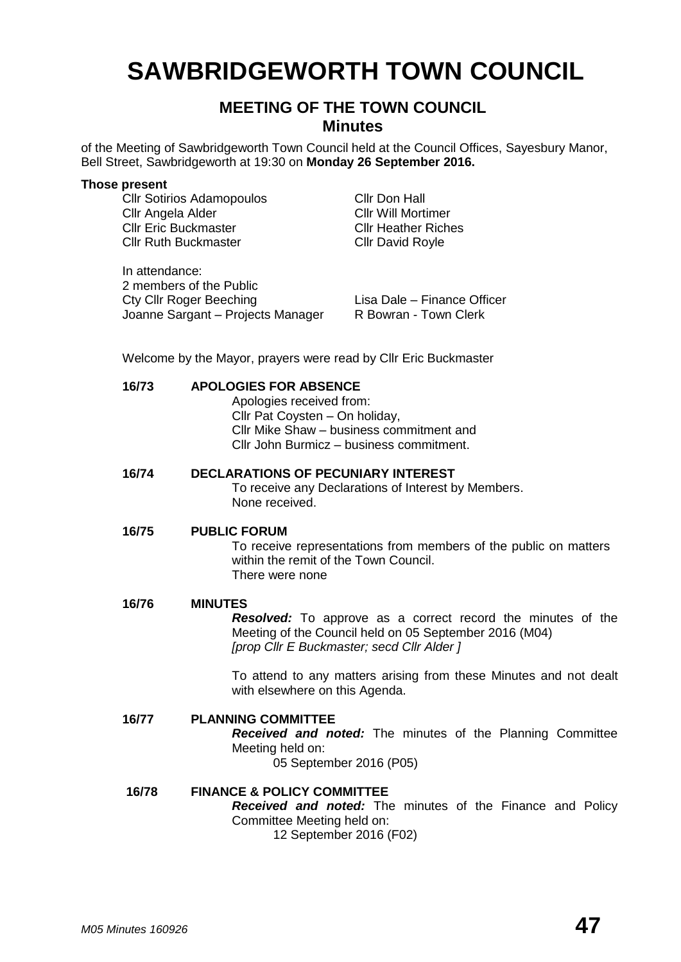# **SAWBRIDGEWORTH TOWN COUNCIL**

# **MEETING OF THE TOWN COUNCIL Minutes**

of the Meeting of Sawbridgeworth Town Council held at the Council Offices, Sayesbury Manor, Bell Street, Sawbridgeworth at 19:30 on **Monday 26 September 2016.**

#### **Those present**

Cllr Sotirios Adamopoulos Cllr Don Hall Cllr Angela Alder Cllr Will Mortimer Cllr Eric Buckmaster Cllr Heather Riches Cllr Ruth Buckmaster Cllr David Royle

In attendance: 2 members of the Public Cty Cllr Roger Beeching<br>Joanne Sargant – Projects Manager R Bowran - Town Clerk Joanne Sargant – Projects Manager

Welcome by the Mayor, prayers were read by Cllr Eric Buckmaster

### **16/73 APOLOGIES FOR ABSENCE**

Apologies received from: Cllr Pat Coysten – On holiday, Cllr Mike Shaw – business commitment and Cllr John Burmicz – business commitment.

## **16/74 DECLARATIONS OF PECUNIARY INTEREST**

To receive any Declarations of Interest by Members. None received.

#### **16/75 PUBLIC FORUM**

To receive representations from members of the public on matters within the remit of the Town Council. There were none

#### **16/76 MINUTES**

*Resolved:* To approve as a correct record the minutes of the Meeting of the Council held on 05 September 2016 (M04) *[prop Cllr E Buckmaster; secd Cllr Alder ]*

To attend to any matters arising from these Minutes and not dealt with elsewhere on this Agenda.

#### **16/77 PLANNING COMMITTEE**

*Received and noted:* The minutes of the Planning Committee Meeting held on:

05 September 2016 (P05)

#### **16/78 FINANCE & POLICY COMMITTEE** *Received and noted:* The minutes of the Finance and Policy Committee Meeting held on: 12 September 2016 (F02)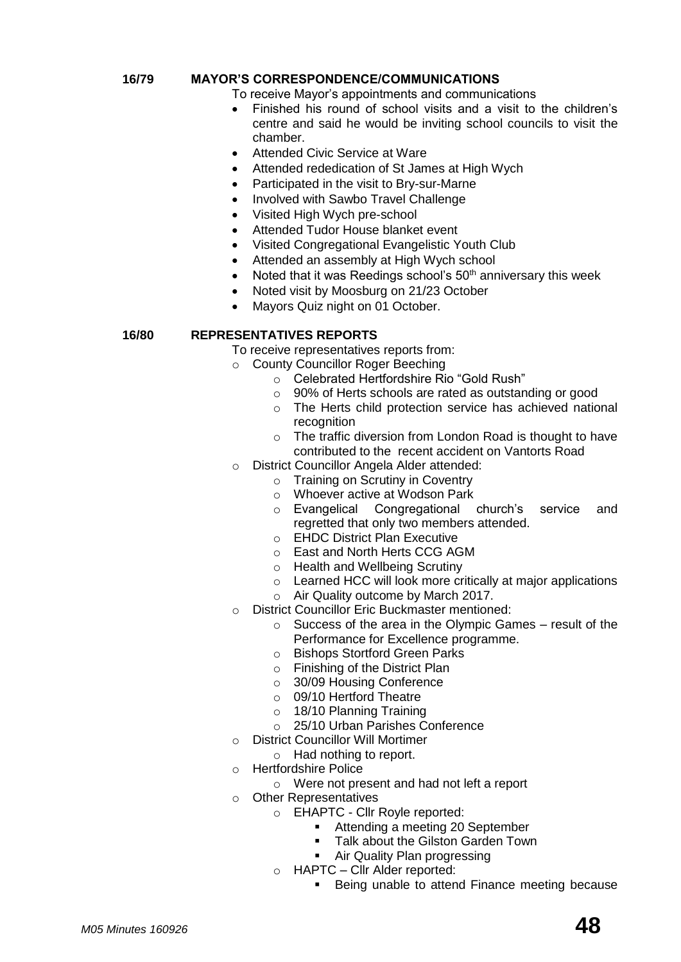# **16/79 MAYOR'S CORRESPONDENCE/COMMUNICATIONS**

To receive Mayor's appointments and communications

- Finished his round of school visits and a visit to the children's centre and said he would be inviting school councils to visit the chamber.
- Attended Civic Service at Ware
- Attended rededication of St James at High Wych
- Participated in the visit to Bry-sur-Marne
- Involved with Sawbo Travel Challenge
- Visited High Wych pre-school
- Attended Tudor House blanket event
- Visited Congregational Evangelistic Youth Club
- Attended an assembly at High Wych school
- Noted that it was Reedings school's  $50<sup>th</sup>$  anniversary this week
- Noted visit by Moosburg on 21/23 October
- Mayors Quiz night on 01 October.

# **16/80 REPRESENTATIVES REPORTS**

To receive representatives reports from:

- o County Councillor Roger Beeching
	- o Celebrated Hertfordshire Rio "Gold Rush"
	- o 90% of Herts schools are rated as outstanding or good
	- o The Herts child protection service has achieved national recognition
	- o The traffic diversion from London Road is thought to have contributed to the recent accident on Vantorts Road
- o District Councillor Angela Alder attended:
	- o Training on Scrutiny in Coventry
	- o Whoever active at Wodson Park
	- o Evangelical Congregational church's service and regretted that only two members attended.
	- o EHDC District Plan Executive
	- o East and North Herts CCG AGM
	- o Health and Wellbeing Scrutiny
	- o Learned HCC will look more critically at major applications
	- o Air Quality outcome by March 2017.
- o District Councillor Eric Buckmaster mentioned:
	- o Success of the area in the Olympic Games result of the Performance for Excellence programme.
	- o Bishops Stortford Green Parks
	- o Finishing of the District Plan
	- o 30/09 Housing Conference
	- o 09/10 Hertford Theatre
	- o 18/10 Planning Training
	- o 25/10 Urban Parishes Conference
- o District Councillor Will Mortimer
	- o Had nothing to report.
- o Hertfordshire Police
	- o Were not present and had not left a report
- o Other Representatives
	- o EHAPTC Cllr Royle reported:
		- Attending a meeting 20 September
		- Talk about the Gilston Garden Town
		- Air Quality Plan progressing
	- o HAPTC Cllr Alder reported:
		- **Being unable to attend Finance meeting because**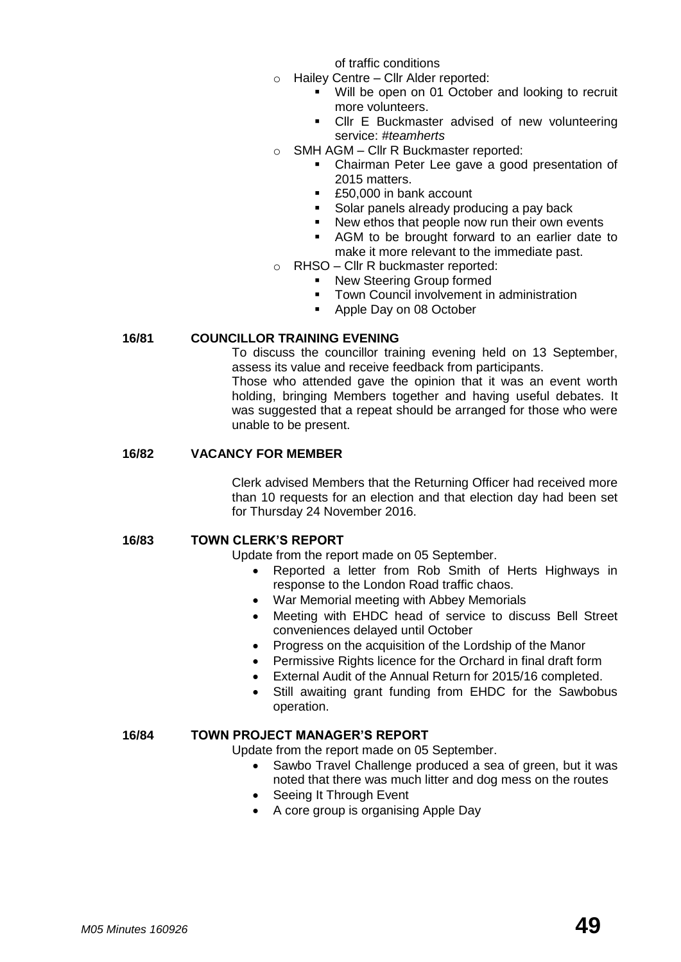of traffic conditions

- o Hailey Centre Cllr Alder reported:
	- Will be open on 01 October and looking to recruit more volunteers.
	- Cllr E Buckmaster advised of new volunteering service: *#teamherts*
- o SMH AGM Cllr R Buckmaster reported:
	- Chairman Peter Lee gave a good presentation of 2015 matters.
	- £50,000 in bank account
	- Solar panels already producing a pay back
	- New ethos that people now run their own events
	- AGM to be brought forward to an earlier date to make it more relevant to the immediate past.
- RHSO Cllr R buckmaster reported:
	- New Steering Group formed
	- **Town Council involvement in administration**
	- Apple Day on 08 October

### **16/81 COUNCILLOR TRAINING EVENING**

To discuss the councillor training evening held on 13 September, assess its value and receive feedback from participants.

Those who attended gave the opinion that it was an event worth holding, bringing Members together and having useful debates. It was suggested that a repeat should be arranged for those who were unable to be present.

#### **16/82 VACANCY FOR MEMBER**

Clerk advised Members that the Returning Officer had received more than 10 requests for an election and that election day had been set for Thursday 24 November 2016.

# **16/83 TOWN CLERK'S REPORT**

Update from the report made on 05 September.

- Reported a letter from Rob Smith of Herts Highways in response to the London Road traffic chaos.
- War Memorial meeting with Abbey Memorials
- Meeting with EHDC head of service to discuss Bell Street conveniences delayed until October
- Progress on the acquisition of the Lordship of the Manor
- Permissive Rights licence for the Orchard in final draft form
- External Audit of the Annual Return for 2015/16 completed.
- Still awaiting grant funding from EHDC for the Sawbobus operation.

#### **16/84 TOWN PROJECT MANAGER'S REPORT**

Update from the report made on 05 September.

- Sawbo Travel Challenge produced a sea of green, but it was noted that there was much litter and dog mess on the routes
- Seeing It Through Event
- A core group is organising Apple Day